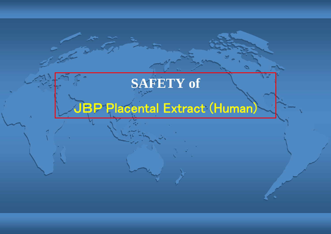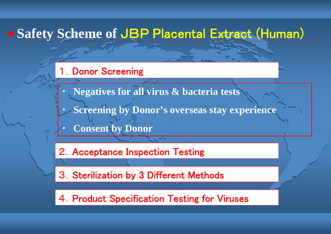# **Safety Scheme of** JBP Placental Extract (Human)

#### 1.Donor Screening

- ・**Negatives for all virus & bacteria tests**
- ・**Screening by Donor's overseas stay experience**
- ・**Consent by Donor**

2.Acceptance Inspection Testing

3.Sterilization by 3 Different Methods

4.Product Specification Testing for Viruses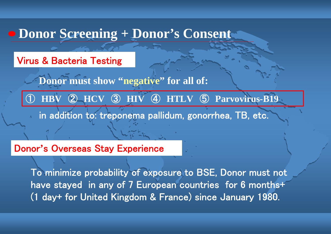### **Donor Screening + Donor's Consent**

Virus & Bacteria Testing

Donor must show "negative" for all of:

① **HBV** ② **HCV** ③ **HIV** ④ **HTLV** ⑤ **Parvovirus-B19**

in addition to: treponema pallidum, gonorrhea, TB, etc.

Donor **'**s Overseas Stay Experience

To minimize probability of exposure to BSE, Donor must not have stayed in any of 7 European countries for 6 months+ (1 day+ for United Kingdom & France) since January 1980.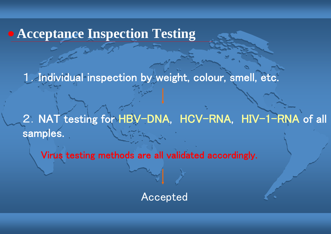## **Acceptance Inspection Testing**

1.Individual inspection by weight, colour, smell, etc.

2. NAT testing for HBV-DNA, HCV-RNA, HIV-1-RNA of all samples.

Virus testing methods are all validated accordingly.

Accepted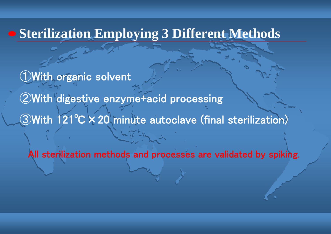# **Sterilization Employing 3 Different Methods**

①With organic solvent

②With digestive enzyme+acid processing

③With 121℃×20 minute autoclave (final sterilization)

All sterilization methods and processes are validated by spiking.